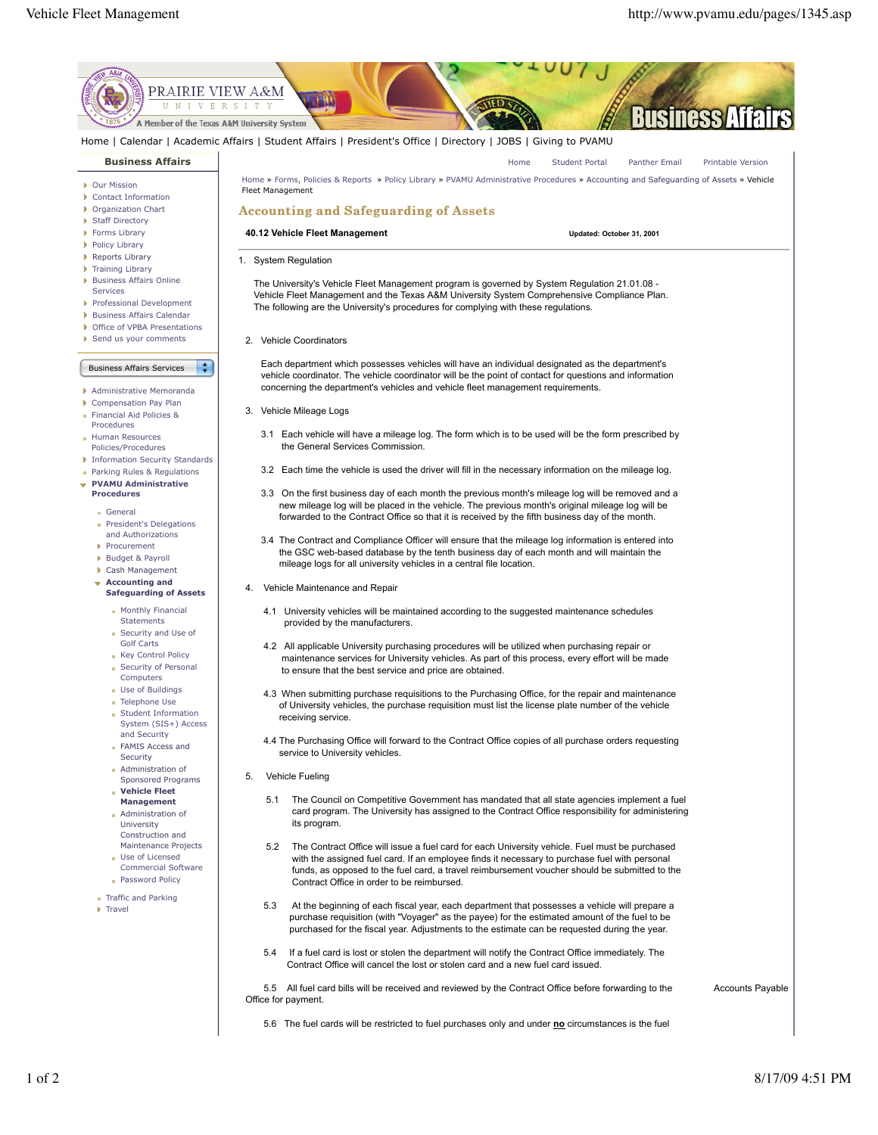